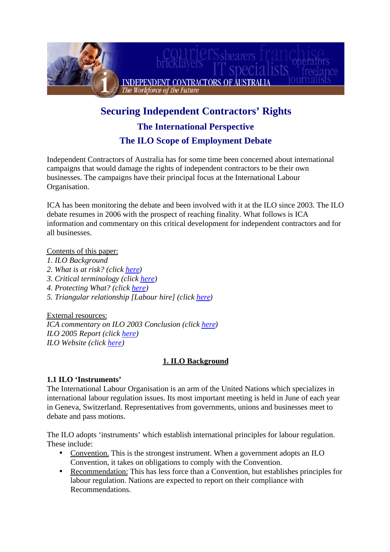

# **Securing Independent Contractors' Rights The International Perspective The ILO Scope of Employment Debate**

Independent Contractors of Australia has for some time been concerned about international campaigns that would damage the rights of independent contractors to be their own businesses. The campaigns have their principal focus at the International Labour Organisation.

ICA has been monitoring the debate and been involved with it at the ILO since 2003. The ILO debate resumes in 2006 with the prospect of reaching finality. What follows is ICA information and commentary on this critical development for independent contractors and for all businesses.

Contents of this paper:

- *1. ILO Background*
- *2. What is at risk? (click [here](#page-2-0))*
- *3. Critical terminology (click [here](#page-5-0))*
- *4. Protecting What? (click [here](#page-7-0))*
- *5. Triangular relationship [Labour hire] (click [here](#page-11-0))*

External resources:

*ICA commentary on ILO 2003 Conclusion (click [here\)](http://www.contractworld.com.au/pages/PDFs/Submission-ILO.pdf) ILO 2005 Report (click [here\)](http://www.ilo.org/public/english/standards/relm/ilc/ilc95/pdf/rep-v-1.pdf) ILO Website (click [here\)](http://www.ilo.org)*

# **1. ILO Background**

## **1.1 ILO 'Instruments'**

The International Labour Organisation is an arm of the United Nations which specializes in international labour regulation issues. Its most important meeting is held in June of each year in Geneva, Switzerland. Representatives from governments, unions and businesses meet to debate and pass motions.

The ILO adopts 'instruments' which establish international principles for labour regulation. These include:

- Convention. This is the strongest instrument. When a government adopts an ILO Convention, it takes on obligations to comply with the Convention.
- Recommendation: This has less force than a Convention, but establishes principles for labour regulation. Nations are expected to report on their compliance with Recommendations.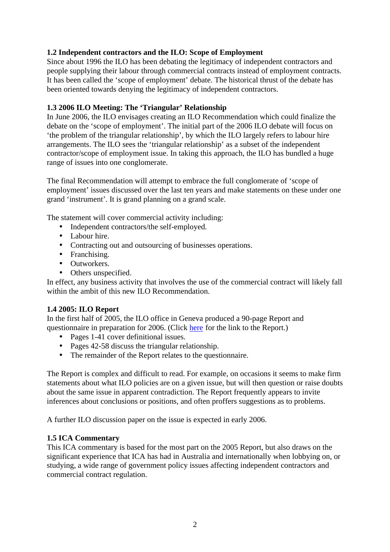# **1.2 Independent contractors and the ILO: Scope of Employment**

Since about 1996 the ILO has been debating the legitimacy of independent contractors and people supplying their labour through commercial contracts instead of employment contracts. It has been called the 'scope of employment' debate. The historical thrust of the debate has been oriented towards denying the legitimacy of independent contractors.

## **1.3 2006 ILO Meeting: The 'Triangular' Relationship**

In June 2006, the ILO envisages creating an ILO Recommendation which could finalize the debate on the 'scope of employment'. The initial part of the 2006 ILO debate will focus on 'the problem of the triangular relationship', by which the ILO largely refers to labour hire arrangements. The ILO sees the 'triangular relationship' as a subset of the independent contractor/scope of employment issue. In taking this approach, the ILO has bundled a huge range of issues into one conglomerate.

The final Recommendation will attempt to embrace the full conglomerate of 'scope of employment' issues discussed over the last ten years and make statements on these under one grand 'instrument'. It is grand planning on a grand scale.

The statement will cover commercial activity including:

- Independent contractors/the self-employed.
- Labour hire.
- Contracting out and outsourcing of businesses operations.
- Franchising.
- Outworkers.
- Others unspecified.

In effect, any business activity that involves the use of the commercial contract will likely fall within the ambit of this new ILO Recommendation.

## **1.4 2005: ILO Report**

In the first half of 2005, the ILO office in Geneva produced a 90-page Report and questionnaire in preparation for 2006. (Clic[k here](http://www.ilo.org/public/english/standards/relm/ilc/ilc95/pdf/rep-v-1.pdf) for the link to the Report.)

- Pages 1-41 cover definitional issues.
- Pages 42-58 discuss the triangular relationship.
- The remainder of the Report relates to the questionnaire.

The Report is complex and difficult to read. For example, on occasions it seems to make firm statements about what ILO policies are on a given issue, but will then question or raise doubts about the same issue in apparent contradiction. The Report frequently appears to invite inferences about conclusions or positions, and often proffers suggestions as to problems.

A further ILO discussion paper on the issue is expected in early 2006.

## **1.5 ICA Commentary**

This ICA commentary is based for the most part on the 2005 Report, but also draws on the significant experience that ICA has had in Australia and internationally when lobbying on, or studying, a wide range of government policy issues affecting independent contractors and commercial contract regulation.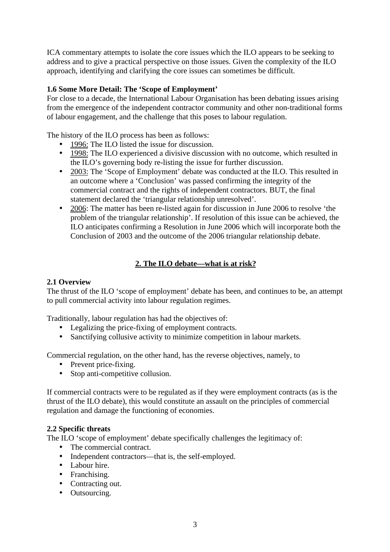<span id="page-2-0"></span>ICA commentary attempts to isolate the core issues which the ILO appears to be seeking to address and to give a practical perspective on those issues. Given the complexity of the ILO approach, identifying and clarifying the core issues can sometimes be difficult.

## **1.6 Some More Detail: The 'Scope of Employment'**

For close to a decade, the International Labour Organisation has been debating issues arising from the emergence of the independent contractor community and other non-traditional forms of labour engagement, and the challenge that this poses to labour regulation.

The history of the ILO process has been as follows:

- 1996: The ILO listed the issue for discussion.
- 1998: The ILO experienced a divisive discussion with no outcome, which resulted in the ILO's governing body re-listing the issue for further discussion.
- 2003: The 'Scope of Employment' debate was conducted at the ILO. This resulted in an outcome where a 'Conclusion' was passed confirming the integrity of the commercial contract and the rights of independent contractors. BUT, the final statement declared the 'triangular relationship unresolved'.
- 2006: The matter has been re-listed again for discussion in June 2006 to resolve 'the problem of the triangular relationship'. If resolution of this issue can be achieved, the ILO anticipates confirming a Resolution in June 2006 which will incorporate both the Conclusion of 2003 and the outcome of the 2006 triangular relationship debate.

# **2. The ILO debate—what is at risk?**

## **2.1 Overview**

The thrust of the ILO 'scope of employment' debate has been, and continues to be, an attempt to pull commercial activity into labour regulation regimes.

Traditionally, labour regulation has had the objectives of:

- Legalizing the price-fixing of employment contracts.
- Sanctifying collusive activity to minimize competition in labour markets.

Commercial regulation, on the other hand, has the reverse objectives, namely, to

- Prevent price-fixing.
- Stop anti-competitive collusion.

If commercial contracts were to be regulated as if they were employment contracts (as is the thrust of the ILO debate), this would constitute an assault on the principles of commercial regulation and damage the functioning of economies.

## **2.2 Specific threats**

The ILO 'scope of employment' debate specifically challenges the legitimacy of:

- The commercial contract.
- Independent contractors—that is, the self-employed.
- Labour hire.
- Franchising.
- Contracting out.
- Outsourcing.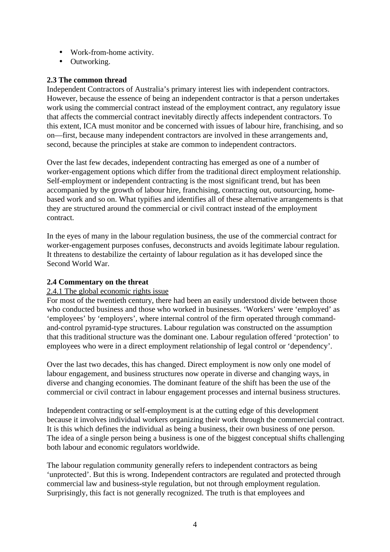- Work-from-home activity.
- Outworking.

## **2.3 The common thread**

Independent Contractors of Australia's primary interest lies with independent contractors. However, because the essence of being an independent contractor is that a person undertakes work using the commercial contract instead of the employment contract, any regulatory issue that affects the commercial contract inevitably directly affects independent contractors. To this extent, ICA must monitor and be concerned with issues of labour hire, franchising, and so on—first, because many independent contractors are involved in these arrangements and, second, because the principles at stake are common to independent contractors.

Over the last few decades, independent contracting has emerged as one of a number of worker-engagement options which differ from the traditional direct employment relationship. Self-employment or independent contracting is the most significant trend, but has been accompanied by the growth of labour hire, franchising, contracting out, outsourcing, homebased work and so on. What typifies and identifies all of these alternative arrangements is that they are structured around the commercial or civil contract instead of the employment contract.

In the eyes of many in the labour regulation business, the use of the commercial contract for worker-engagement purposes confuses, deconstructs and avoids legitimate labour regulation. It threatens to destabilize the certainty of labour regulation as it has developed since the Second World War.

## **2.4 Commentary on the threat**

#### 2.4.1 The global economic rights issue

For most of the twentieth century, there had been an easily understood divide between those who conducted business and those who worked in businesses. 'Workers' were 'employed' as 'employees' by 'employers', where internal control of the firm operated through commandand-control pyramid-type structures. Labour regulation was constructed on the assumption that this traditional structure was the dominant one. Labour regulation offered 'protection' to employees who were in a direct employment relationship of legal control or 'dependency'.

Over the last two decades, this has changed. Direct employment is now only one model of labour engagement, and business structures now operate in diverse and changing ways, in diverse and changing economies. The dominant feature of the shift has been the use of the commercial or civil contract in labour engagement processes and internal business structures.

Independent contracting or self-employment is at the cutting edge of this development because it involves individual workers organizing their work through the commercial contract. It is this which defines the individual as being a business, their own business of one person. The idea of a single person being a business is one of the biggest conceptual shifts challenging both labour and economic regulators worldwide.

The labour regulation community generally refers to independent contractors as being 'unprotected'. But this is wrong. Independent contractors are regulated and protected through commercial law and business-style regulation, but not through employment regulation. Surprisingly, this fact is not generally recognized. The truth is that employees and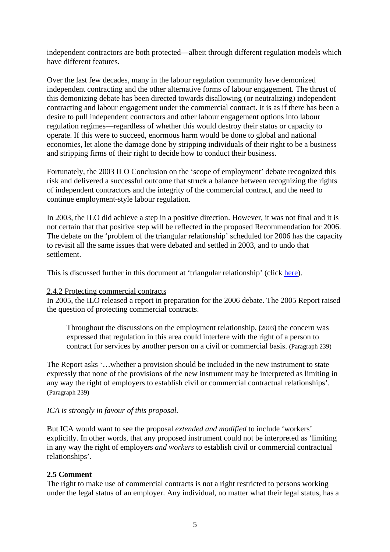independent contractors are both protected—albeit through different regulation models which have different features.

Over the last few decades, many in the labour regulation community have demonized independent contracting and the other alternative forms of labour engagement. The thrust of this demonizing debate has been directed towards disallowing (or neutralizing) independent contracting and labour engagement under the commercial contract. It is as if there has been a desire to pull independent contractors and other labour engagement options into labour regulation regimes—regardless of whether this would destroy their status or capacity to operate. If this were to succeed, enormous harm would be done to global and national economies, let alone the damage done by stripping individuals of their right to be a business and stripping firms of their right to decide how to conduct their business.

Fortunately, the 2003 ILO Conclusion on the 'scope of employment' debate recognized this risk and delivered a successful outcome that struck a balance between recognizing the rights of independent contractors and the integrity of the commercial contract, and the need to continue employment-style labour regulation.

In 2003, the ILO did achieve a step in a positive direction. However, it was not final and it is not certain that that positive step will be reflected in the proposed Recommendation for 2006. The debate on the 'problem of the triangular relationship' scheduled for 2006 has the capacity to revisit all the same issues that were debated and settled in 2003, and to undo that settlement.

This is discussed further in this document at 'triangular relationship' (click [here](#page-11-0)).

#### 2.4.2 Protecting commercial contracts

In 2005, the ILO released a report in preparation for the 2006 debate. The 2005 Report raised the question of protecting commercial contracts.

Throughout the discussions on the employment relationship, [2003] the concern was expressed that regulation in this area could interfere with the right of a person to contract for services by another person on a civil or commercial basis. (Paragraph 239)

The Report asks '…whether a provision should be included in the new instrument to state expressly that none of the provisions of the new instrument may be interpreted as limiting in any way the right of employers to establish civil or commercial contractual relationships'. (Paragraph 239)

## *ICA is strongly in favour of this proposal.*

But ICA would want to see the proposal *extended and modified* to include 'workers' explicitly. In other words, that any proposed instrument could not be interpreted as 'limiting in any way the right of employers *and workers* to establish civil or commercial contractual relationships'.

#### **2.5 Comment**

The right to make use of commercial contracts is not a right restricted to persons working under the legal status of an employer. Any individual, no matter what their legal status, has a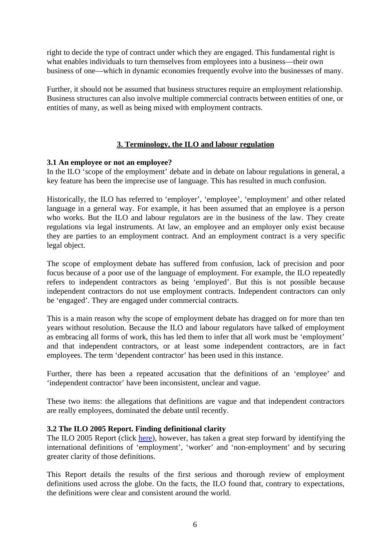<span id="page-5-0"></span>right to decide the type of contract under which they are engaged. This fundamental right is what enables individuals to turn themselves from employees into a business—their own business of one—which in dynamic economies frequently evolve into the businesses of many.

Further, it should not be assumed that business structures require an employment relationship. Business structures can also involve multiple commercial contracts between entities of one, or entities of many, as well as being mixed with employment contracts.

#### **3. Terminology, the ILO and labour regulation**

#### **3.1 An employee or not an employee?**

In the ILO 'scope of the employment' debate and in debate on labour regulations in general, a key feature has been the imprecise use of language. This has resulted in much confusion.

Historically, the ILO has referred to 'employer', 'employee', 'employment' and other related language in a general way. For example, it has been assumed that an employee is a person who works. But the ILO and labour regulators are in the business of the law. They create regulations via legal instruments. At law, an employee and an employer only exist because they are parties to an employment contract. And an employment contract is a very specific legal object.

The scope of employment debate has suffered from confusion, lack of precision and poor focus because of a poor use of the language of employment. For example, the ILO repeatedly refers to independent contractors as being 'employed'. But this is not possible because independent contractors do not use employment contracts. Independent contractors can only be 'engaged'. They are engaged under commercial contracts.

This is a main reason why the scope of employment debate has dragged on for more than ten years without resolution. Because the ILO and labour regulators have talked of employment as embracing all forms of work, this has led them to infer that all work must be 'employment' and that independent contractors, or at least some independent contractors, are in fact employees. The term 'dependent contractor' has been used in this instance.

Further, there has been a repeated accusation that the definitions of an 'employee' and 'independent contractor' have been inconsistent, unclear and vague.

These two items: the allegations that definitions are vague and that independent contractors are really employees, dominated the debate until recently.

#### **3.2 The ILO 2005 Report. Finding definitional clarity**

The ILO 2005 Report (clic[k here\)](http://www.ilo.org/public/english/standards/relm/ilc/ilc95/pdf/rep-v-1.pdf), however, has taken a great step forward by identifying the international definitions of 'employment', 'worker' and 'non-employment' and by securing greater clarity of those definitions.

This Report details the results of the first serious and thorough review of employment definitions used across the globe. On the facts, the ILO found that, contrary to expectations, the definitions were clear and consistent around the world.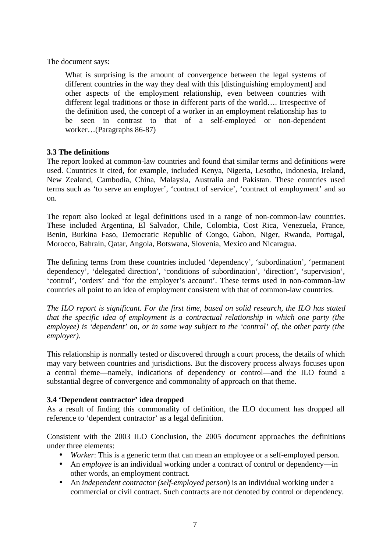The document says:

What is surprising is the amount of convergence between the legal systems of different countries in the way they deal with this [distinguishing employment] and other aspects of the employment relationship, even between countries with different legal traditions or those in different parts of the world…. Irrespective of the definition used, the concept of a worker in an employment relationship has to be seen in contrast to that of a self-employed or non-dependent worker…(Paragraphs 86-87)

#### **3.3 The definitions**

The report looked at common-law countries and found that similar terms and definitions were used. Countries it cited, for example, included Kenya, Nigeria, Lesotho, Indonesia, Ireland, New Zealand, Cambodia, China, Malaysia, Australia and Pakistan. These countries used terms such as 'to serve an employer', 'contract of service', 'contract of employment' and so on.

The report also looked at legal definitions used in a range of non-common-law countries. These included Argentina, El Salvador, Chile, Colombia, Cost Rica, Venezuela, France, Benin, Burkina Faso, Democratic Republic of Congo, Gabon, Niger, Rwanda, Portugal, Morocco, Bahrain, Qatar, Angola, Botswana, Slovenia, Mexico and Nicaragua.

The defining terms from these countries included 'dependency', 'subordination', 'permanent dependency', 'delegated direction', 'conditions of subordination', 'direction', 'supervision', 'control', 'orders' and 'for the employer's account'. These terms used in non-common-law countries all point to an idea of employment consistent with that of common-law countries.

*The ILO report is significant. For the first time, based on solid research, the ILO has stated that the specific idea of employment is a contractual relationship in which one party (the employee) is 'dependent' on, or in some way subject to the 'control' of, the other party (the employer).*

This relationship is normally tested or discovered through a court process, the details of which may vary between countries and jurisdictions. But the discovery process always focuses upon a central theme—namely, indications of dependency or control—and the ILO found a substantial degree of convergence and commonality of approach on that theme.

#### **3.4 'Dependent contractor' idea dropped**

As a result of finding this commonality of definition, the ILO document has dropped all reference to 'dependent contractor' as a legal definition.

Consistent with the 2003 ILO Conclusion, the 2005 document approaches the definitions under three elements:

- *Worker*: This is a generic term that can mean an employee or a self-employed person.
- An *employee* is an individual working under a contract of control or dependency—in other words, an employment contract.
- An *independent contractor (self-employed person*) is an individual working under a commercial or civil contract. Such contracts are not denoted by control or dependency.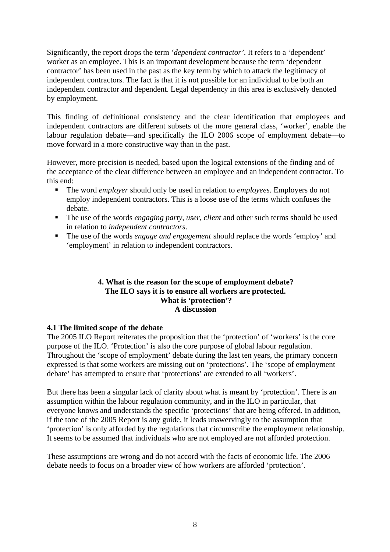<span id="page-7-0"></span>Significantly, the report drops the term *'dependent contractor'*. It refers to a 'dependent' worker as an employee. This is an important development because the term 'dependent contractor' has been used in the past as the key term by which to attack the legitimacy of independent contractors. The fact is that it is not possible for an individual to be both an independent contractor and dependent. Legal dependency in this area is exclusively denoted by employment.

This finding of definitional consistency and the clear identification that employees and independent contractors are different subsets of the more general class, 'worker', enable the labour regulation debate—and specifically the ILO 2006 scope of employment debate—to move forward in a more constructive way than in the past.

However, more precision is needed, based upon the logical extensions of the finding and of the acceptance of the clear difference between an employee and an independent contractor. To this end:

- ß The word *employer* should only be used in relation to *employees*. Employers do not employ independent contractors. This is a loose use of the terms which confuses the debate.
- The use of the words *engaging party, user, client* and other such terms should be used in relation to *independent contractors*.
- ß The use of the words *engage and engagement* should replace the words 'employ' and 'employment' in relation to independent contractors.

#### **4. What is the reason for the scope of employment debate? The ILO says it is to ensure all workers are protected. What is 'protection'? A discussion**

## **4.1 The limited scope of the debate**

The 2005 ILO Report reiterates the proposition that the 'protection' of 'workers' is the core purpose of the ILO. 'Protection' is also the core purpose of global labour regulation. Throughout the 'scope of employment' debate during the last ten years, the primary concern expressed is that some workers are missing out on 'protections'. The 'scope of employment debate' has attempted to ensure that 'protections' are extended to all 'workers'.

But there has been a singular lack of clarity about what is meant by 'protection'. There is an assumption within the labour regulation community, and in the ILO in particular, that everyone knows and understands the specific 'protections' that are being offered. In addition, if the tone of the 2005 Report is any guide, it leads unswervingly to the assumption that 'protection' is only afforded by the regulations that circumscribe the employment relationship. It seems to be assumed that individuals who are not employed are not afforded protection.

These assumptions are wrong and do not accord with the facts of economic life. The 2006 debate needs to focus on a broader view of how workers are afforded 'protection'.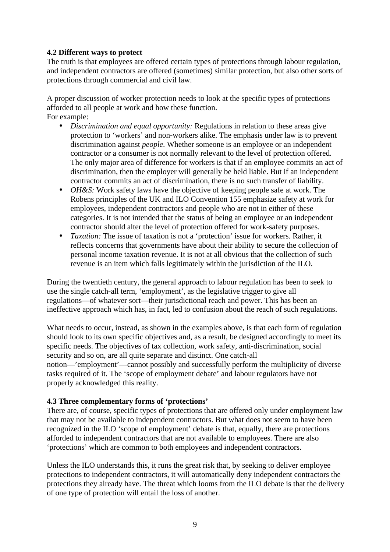## <span id="page-8-0"></span>**4.2 Different ways to protect**

The truth is that employees are offered certain types of protections through labour regulation, and independent contractors are offered (sometimes) similar protection, but also other sorts of protections through commercial and civil law.

A proper discussion of worker protection needs to look at the specific types of protections afforded to all people at work and how these function. For example:

- *Discrimination and equal opportunity:* Regulations in relation to these areas give protection to 'workers' and non-workers alike. The emphasis under law is to prevent discrimination against *people*. Whether someone is an employee or an independent contractor or a consumer is not normally relevant to the level of protection offered. The only major area of difference for workers is that if an employee commits an act of discrimination, then the employer will generally be held liable. But if an independent contractor commits an act of discrimination, there is no such transfer of liability.
- *OH&S:* Work safety laws have the objective of keeping people safe at work. The Robens principles of the UK and ILO Convention 155 emphasize safety at work for employees, independent contractors and people who are not in either of these categories. It is not intended that the status of being an employee or an independent contractor should alter the level of protection offered for work-safety purposes.
- *Taxation:* The issue of taxation is not a 'protection' issue for workers. Rather, it reflects concerns that governments have about their ability to secure the collection of personal income taxation revenue. It is not at all obvious that the collection of such revenue is an item which falls legitimately within the jurisdiction of the ILO.

During the twentieth century, the general approach to labour regulation has been to seek to use the single catch-all term, 'employment', as the legislative trigger to give all regulations—of whatever sort—their jurisdictional reach and power. This has been an ineffective approach which has, in fact, led to confusion about the reach of such regulations.

What needs to occur, instead, as shown in the examples above, is that each form of regulation should look to its own specific objectives and, as a result, be designed accordingly to meet its specific needs. The objectives of tax collection, work safety, anti-discrimination, social security and so on, are all quite separate and distinct. One catch-all notion—'employment'—cannot possibly and successfully perform the multiplicity of diverse tasks required of it. The 'scope of employment debate' and labour regulators have not properly acknowledged this reality.

## **4.3 Three complementary forms of 'protections'**

There are, of course, specific types of protections that are offered only under employment law that may not be available to independent contractors. But what does not seem to have been recognized in the ILO 'scope of employment' debate is that, equally, there are protections afforded to independent contractors that are not available to employees. There are also 'protections' which are common to both employees and independent contractors.

Unless the ILO understands this, it runs the great risk that, by seeking to deliver employee protections to independent contractors, it will automatically deny independent contractors the protections they already have. The threat which looms from the ILO debate is that the delivery of one type of protection will entail the loss of another.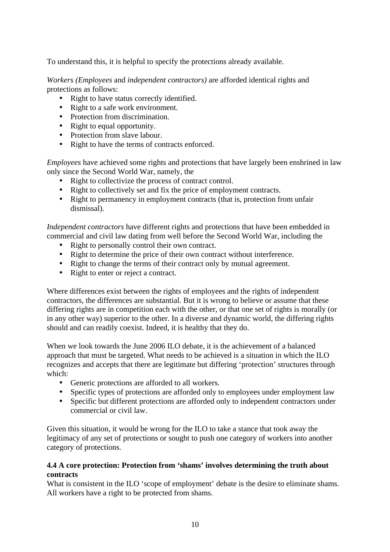To understand this, it is helpful to specify the protections already available.

*Workers (Employees* and *independent contractors)* are afforded identical rights and protections as follows:

- Right to have status correctly identified.
- Right to a safe work environment.
- Protection from discrimination.
- Right to equal opportunity.
- Protection from slave labour.
- Right to have the terms of contracts enforced.

*Employees* have achieved some rights and protections that have largely been enshrined in law only since the Second World War, namely, the

- Right to collectivize the process of contract control.
- Right to collectively set and fix the price of employment contracts.
- Right to permanency in employment contracts (that is, protection from unfair dismissal).

*Independent contractors* have different rights and protections that have been embedded in commercial and civil law dating from well before the Second World War, including the

- Right to personally control their own contract.
- Right to determine the price of their own contract without interference.
- Right to change the terms of their contract only by mutual agreement.
- Right to enter or reject a contract.

Where differences exist between the rights of employees and the rights of independent contractors, the differences are substantial. But it is wrong to believe or assume that these differing rights are in competition each with the other, or that one set of rights is morally (or in any other way) superior to the other. In a diverse and dynamic world, the differing rights should and can readily coexist. Indeed, it is healthy that they do.

When we look towards the June 2006 ILO debate, it is the achievement of a balanced approach that must be targeted. What needs to be achieved is a situation in which the ILO recognizes and accepts that there are legitimate but differing 'protection' structures through which:

- Generic protections are afforded to all workers.
- Specific types of protections are afforded only to employees under employment law
- Specific but different protections are afforded only to independent contractors under commercial or civil law.

Given this situation, it would be wrong for the ILO to take a stance that took away the legitimacy of any set of protections or sought to push one category of workers into another category of protections.

## **4.4 A core protection: Protection from 'shams' involves determining the truth about contracts**

What is consistent in the ILO 'scope of employment' debate is the desire to eliminate shams. All workers have a right to be protected from shams.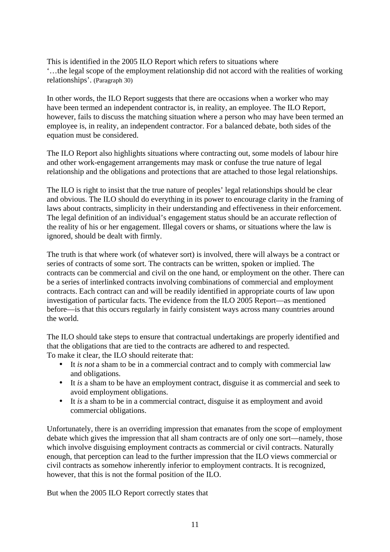This is identified in the 2005 ILO Report which refers to situations where '…the legal scope of the employment relationship did not accord with the realities of working relationships'. (Paragraph 30)

In other words, the ILO Report suggests that there are occasions when a worker who may have been termed an independent contractor is, in reality, an employee. The ILO Report, however, fails to discuss the matching situation where a person who may have been termed an employee is, in reality, an independent contractor. For a balanced debate, both sides of the equation must be considered.

The ILO Report also highlights situations where contracting out, some models of labour hire and other work-engagement arrangements may mask or confuse the true nature of legal relationship and the obligations and protections that are attached to those legal relationships.

The ILO is right to insist that the true nature of peoples' legal relationships should be clear and obvious. The ILO should do everything in its power to encourage clarity in the framing of laws about contracts, simplicity in their understanding and effectiveness in their enforcement. The legal definition of an individual's engagement status should be an accurate reflection of the reality of his or her engagement. Illegal covers or shams, or situations where the law is ignored, should be dealt with firmly.

The truth is that where work (of whatever sort) is involved, there will always be a contract or series of contracts of some sort. The contracts can be written, spoken or implied. The contracts can be commercial and civil on the one hand, or employment on the other. There can be a series of interlinked contracts involving combinations of commercial and employment contracts. Each contract can and will be readily identified in appropriate courts of law upon investigation of particular facts. The evidence from the ILO 2005 Report—as mentioned before—is that this occurs regularly in fairly consistent ways across many countries around the world.

The ILO should take steps to ensure that contractual undertakings are properly identified and that the obligations that are tied to the contracts are adhered to and respected. To make it clear, the ILO should reiterate that:

- It *is not* a sham to be in a commercial contract and to comply with commercial law and obligations.
- It *is* a sham to be have an employment contract, disguise it as commercial and seek to avoid employment obligations.
- It *is* a sham to be in a commercial contract, disguise it as employment and avoid commercial obligations.

Unfortunately, there is an overriding impression that emanates from the scope of employment debate which gives the impression that all sham contracts are of only one sort—namely, those which involve disguising employment contracts as commercial or civil contracts. Naturally enough, that perception can lead to the further impression that the ILO views commercial or civil contracts as somehow inherently inferior to employment contracts. It is recognized, however, that this is not the formal position of the ILO.

But when the 2005 ILO Report correctly states that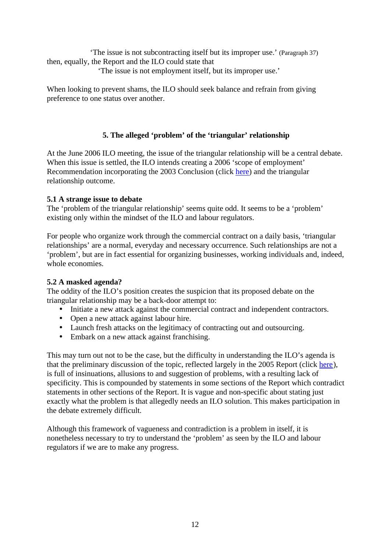<span id="page-11-0"></span>'The issue is not subcontracting itself but its improper use.' (Paragraph 37) then, equally, the Report and the ILO could state that

'The issue is not employment itself, but its improper use.'

When looking to prevent shams, the ILO should seek balance and refrain from giving preference to one status over another.

# **5. The alleged 'problem' of the 'triangular' relationship**

At the June 2006 ILO meeting, the issue of the triangular relationship will be a central debate. When this issue is settled, the ILO intends creating a 2006 'scope of employment' Recommendation incorporating the 2003 Conclusion (click [here](http://www.contractworld.com.au/pages/PDFs/Submission-ILO.pdf)) and the triangular relationship outcome.

## **5.1 A strange issue to debate**

The 'problem of the triangular relationship' seems quite odd. It seems to be a 'problem' existing only within the mindset of the ILO and labour regulators.

For people who organize work through the commercial contract on a daily basis, 'triangular relationships' are a normal, everyday and necessary occurrence. Such relationships are not a 'problem', but are in fact essential for organizing businesses, working individuals and, indeed, whole economies.

## **5.2 A masked agenda?**

The oddity of the ILO's position creates the suspicion that its proposed debate on the triangular relationship may be a back-door attempt to:

- Initiate a new attack against the commercial contract and independent contractors.
- Open a new attack against labour hire.
- Launch fresh attacks on the legitimacy of contracting out and outsourcing.
- Embark on a new attack against franchising.

This may turn out not to be the case, but the difficulty in understanding the ILO's agenda is that the preliminary discussion of the topic, reflected largely in the 2005 Report (click [here](http://www.ilo.org/public/english/standards/relm/ilc/ilc95/pdf/rep-v-1.pdf)), is full of insinuations, allusions to and suggestion of problems, with a resulting lack of specificity. This is compounded by statements in some sections of the Report which contradict statements in other sections of the Report. It is vague and non-specific about stating just exactly what the problem is that allegedly needs an ILO solution. This makes participation in the debate extremely difficult.

Although this framework of vagueness and contradiction is a problem in itself, it is nonetheless necessary to try to understand the 'problem' as seen by the ILO and labour regulators if we are to make any progress.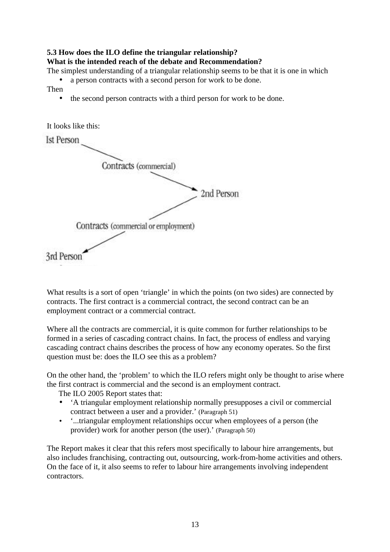# **5.3 How does the ILO define the triangular relationship?**

## **What is the intended reach of the debate and Recommendation?**

The simplest understanding of a triangular relationship seems to be that it is one in which

- a person contracts with a second person for work to be done.
- Then
	- the second person contracts with a third person for work to be done.

It looks like this: **Ist Person** Contracts (commercial) 2nd Person Contracts (commercial or employment) 3rd Person

What results is a sort of open 'triangle' in which the points (on two sides) are connected by contracts. The first contract is a commercial contract, the second contract can be an employment contract or a commercial contract.

Where all the contracts are commercial, it is quite common for further relationships to be formed in a series of cascading contract chains. In fact, the process of endless and varying cascading contract chains describes the process of how any economy operates. So the first question must be: does the ILO see this as a problem?

On the other hand, the 'problem' to which the ILO refers might only be thought to arise where the first contract is commercial and the second is an employment contract.

The ILO 2005 Report states that:

- 'A triangular employment relationship normally presupposes a civil or commercial contract between a user and a provider.' (Paragraph 51)
- '...triangular employment relationships occur when employees of a person (the provider) work for another person (the user).' (Paragraph 50)

The Report makes it clear that this refers most specifically to labour hire arrangements, but also includes franchising, contracting out, outsourcing, work-from-home activities and others. On the face of it, it also seems to refer to labour hire arrangements involving independent contractors.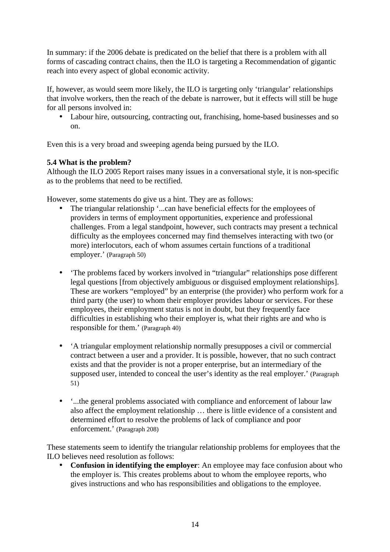In summary: if the 2006 debate is predicated on the belief that there is a problem with all forms of cascading contract chains, then the ILO is targeting a Recommendation of gigantic reach into every aspect of global economic activity.

If, however, as would seem more likely, the ILO is targeting only 'triangular' relationships that involve workers, then the reach of the debate is narrower, but it effects will still be huge for all persons involved in:

• Labour hire, outsourcing, contracting out, franchising, home-based businesses and so on.

Even this is a very broad and sweeping agenda being pursued by the ILO.

# **5.4 What is the problem?**

Although the ILO 2005 Report raises many issues in a conversational style, it is non-specific as to the problems that need to be rectified.

However, some statements do give us a hint. They are as follows:

- The triangular relationship '...can have beneficial effects for the employees of providers in terms of employment opportunities, experience and professional challenges. From a legal standpoint, however, such contracts may present a technical difficulty as the employees concerned may find themselves interacting with two (or more) interlocutors, each of whom assumes certain functions of a traditional employer.' (Paragraph 50)
- 'The problems faced by workers involved in "triangular" relationships pose different legal questions [from objectively ambiguous or disguised employment relationships]. These are workers "employed" by an enterprise (the provider) who perform work for a third party (the user) to whom their employer provides labour or services. For these employees, their employment status is not in doubt, but they frequently face difficulties in establishing who their employer is, what their rights are and who is responsible for them.' (Paragraph 40)
- 'A triangular employment relationship normally presupposes a civil or commercial contract between a user and a provider. It is possible, however, that no such contract exists and that the provider is not a proper enterprise, but an intermediary of the supposed user, intended to conceal the user's identity as the real employer.' (Paragraph 51)
- '...the general problems associated with compliance and enforcement of labour law also affect the employment relationship … there is little evidence of a consistent and determined effort to resolve the problems of lack of compliance and poor enforcement.' (Paragraph 208)

These statements seem to identify the triangular relationship problems for employees that the ILO believes need resolution as follows:

• **Confusion in identifying the employer**: An employee may face confusion about who the employer is. This creates problems about to whom the employee reports, who gives instructions and who has responsibilities and obligations to the employee.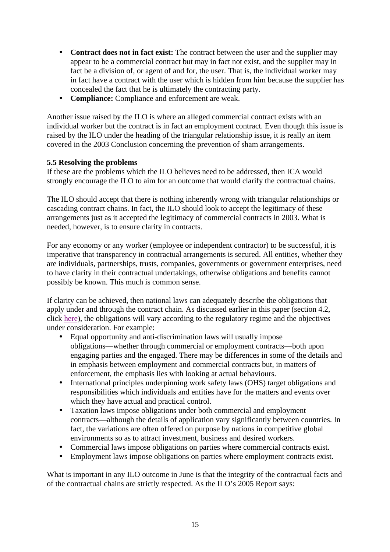- **Contract does not in fact exist:** The contract between the user and the supplier may appear to be a commercial contract but may in fact not exist, and the supplier may in fact be a division of, or agent of and for, the user. That is, the individual worker may in fact have a contract with the user which is hidden from him because the supplier has concealed the fact that he is ultimately the contracting party.
- **Compliance:** Compliance and enforcement are weak.

Another issue raised by the ILO is where an alleged commercial contract exists with an individual worker but the contract is in fact an employment contract. Even though this issue is raised by the ILO under the heading of the triangular relationship issue, it is really an item covered in the 2003 Conclusion concerning the prevention of sham arrangements.

#### **5.5 Resolving the problems**

If these are the problems which the ILO believes need to be addressed, then ICA would strongly encourage the ILO to aim for an outcome that would clarify the contractual chains.

The ILO should accept that there is nothing inherently wrong with triangular relationships or cascading contract chains. In fact, the ILO should look to accept the legitimacy of these arrangements just as it accepted the legitimacy of commercial contracts in 2003. What is needed, however, is to ensure clarity in contracts.

For any economy or any worker (employee or independent contractor) to be successful, it is imperative that transparency in contractual arrangements is secured. All entities, whether they are individuals, partnerships, trusts, companies, governments or government enterprises, need to have clarity in their contractual undertakings, otherwise obligations and benefits cannot possibly be known. This much is common sense.

If clarity can be achieved, then national laws can adequately describe the obligations that apply under and through the contract chain. As discussed earlier in this paper (section 4.2, click [here](#page-8-0)), the obligations will vary according to the regulatory regime and the objectives under consideration. For example:

- Equal opportunity and anti-discrimination laws will usually impose obligations—whether through commercial or employment contracts—both upon engaging parties and the engaged. There may be differences in some of the details and in emphasis between employment and commercial contracts but, in matters of enforcement, the emphasis lies with looking at actual behaviours.
- International principles underpinning work safety laws (OHS) target obligations and responsibilities which individuals and entities have for the matters and events over which they have actual and practical control.
- Taxation laws impose obligations under both commercial and employment contracts—although the details of application vary significantly between countries. In fact, the variations are often offered on purpose by nations in competitive global environments so as to attract investment, business and desired workers.
- Commercial laws impose obligations on parties where commercial contracts exist.
- Employment laws impose obligations on parties where employment contracts exist.

What is important in any ILO outcome in June is that the integrity of the contractual facts and of the contractual chains are strictly respected. As the ILO's 2005 Report says: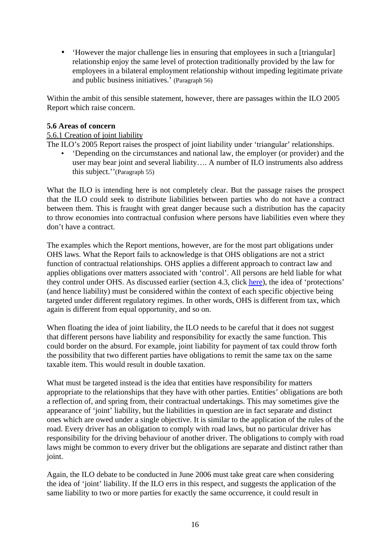• 'However the major challenge lies in ensuring that employees in such a [triangular] relationship enjoy the same level of protection traditionally provided by the law for employees in a bilateral employment relationship without impeding legitimate private and public business initiatives.' (Paragraph 56)

Within the ambit of this sensible statement, however, there are passages within the ILO 2005 Report which raise concern.

#### **5.6 Areas of concern**

## 5.6.1 Creation of joint liability

The ILO's 2005 Report raises the prospect of joint liability under 'triangular' relationships.

• 'Depending on the circumstances and national law, the employer (or provider) and the user may bear joint and several liability…. A number of ILO instruments also address this subject.''(Paragraph 55)

What the ILO is intending here is not completely clear. But the passage raises the prospect that the ILO could seek to distribute liabilities between parties who do not have a contract between them. This is fraught with great danger because such a distribution has the capacity to throw economies into contractual confusion where persons have liabilities even where they don't have a contract.

The examples which the Report mentions, however, are for the most part obligations under OHS laws. What the Report fails to acknowledge is that OHS obligations are not a strict function of contractual relationships. OHS applies a different approach to contract law and applies obligations over matters associated with 'control'. All persons are held liable for what they control under OHS. As discussed earlier (section 4.3, click [here](#page-8-0)), the idea of 'protections' (and hence liability) must be considered within the context of each specific objective being targeted under different regulatory regimes. In other words, OHS is different from tax, which again is different from equal opportunity, and so on.

When floating the idea of joint liability, the ILO needs to be careful that it does not suggest that different persons have liability and responsibility for exactly the same function. This could border on the absurd. For example, joint liability for payment of tax could throw forth the possibility that two different parties have obligations to remit the same tax on the same taxable item. This would result in double taxation.

What must be targeted instead is the idea that entities have responsibility for matters appropriate to the relationships that they have with other parties. Entities' obligations are both a reflection of, and spring from, their contractual undertakings. This may sometimes give the appearance of 'joint' liability, but the liabilities in question are in fact separate and distinct ones which are owed under a single objective. It is similar to the application of the rules of the road. Every driver has an obligation to comply with road laws, but no particular driver has responsibility for the driving behaviour of another driver. The obligations to comply with road laws might be common to every driver but the obligations are separate and distinct rather than joint.

Again, the ILO debate to be conducted in June 2006 must take great care when considering the idea of 'joint' liability. If the ILO errs in this respect, and suggests the application of the same liability to two or more parties for exactly the same occurrence, it could result in